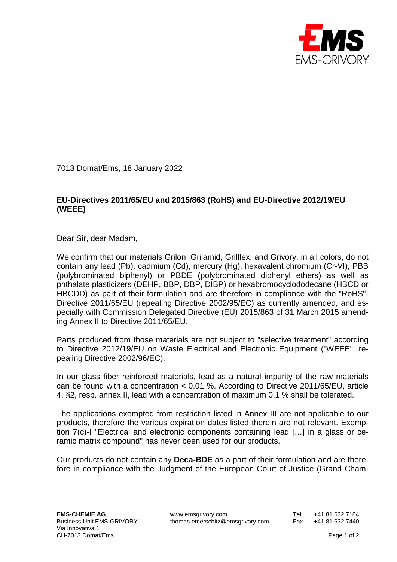

7013 Domat/Ems, 18 January 2022

## **EU-Directives 2011/65/EU and 2015/863 (RoHS) and EU-Directive 2012/19/EU (WEEE)**

Dear Sir, dear Madam,

We confirm that our materials Grilon, Grilamid, Grilflex, and Grivory, in all colors, do not contain any lead (Pb), cadmium (Cd), mercury (Hg), hexavalent chromium (Cr-VI), PBB (polybrominated biphenyl) or PBDE (polybrominated diphenyl ethers) as well as phthalate plasticizers (DEHP, BBP, DBP, DIBP) or hexabromocyclododecane (HBCD or HBCDD) as part of their formulation and are therefore in compliance with the "RoHS"- Directive 2011/65/EU (repealing Directive 2002/95/EC) as currently amended, and especially with Commission Delegated Directive (EU) 2015/863 of 31 March 2015 amending Annex II to Directive 2011/65/EU.

Parts produced from those materials are not subject to "selective treatment" according to Directive 2012/19/EU on Waste Electrical and Electronic Equipment ("WEEE", repealing Directive 2002/96/EC).

In our glass fiber reinforced materials, lead as a natural impurity of the raw materials can be found with a concentration < 0.01 %. According to Directive 2011/65/EU, article 4, §2, resp. annex II, lead with a concentration of maximum 0.1 % shall be tolerated.

The applications exempted from restriction listed in Annex III are not applicable to our products, therefore the various expiration dates listed therein are not relevant. Exemption 7(c)-I "Electrical and electronic components containing lead […] in a glass or ceramic matrix compound" has never been used for our products.

Our products do not contain any **Deca-BDE** as a part of their formulation and are therefore in compliance with the Judgment of the European Court of Justice (Grand Cham-

EMS-CHEMIE AG www.emsgrivory.com Tel. +41 81 632 7184<br>Business Unit EMS-GRIVORY thomas.emerschitz@emsgrivory.com Fax +41 81 632 7440 thomas.emerschitz@emsgrivory.com